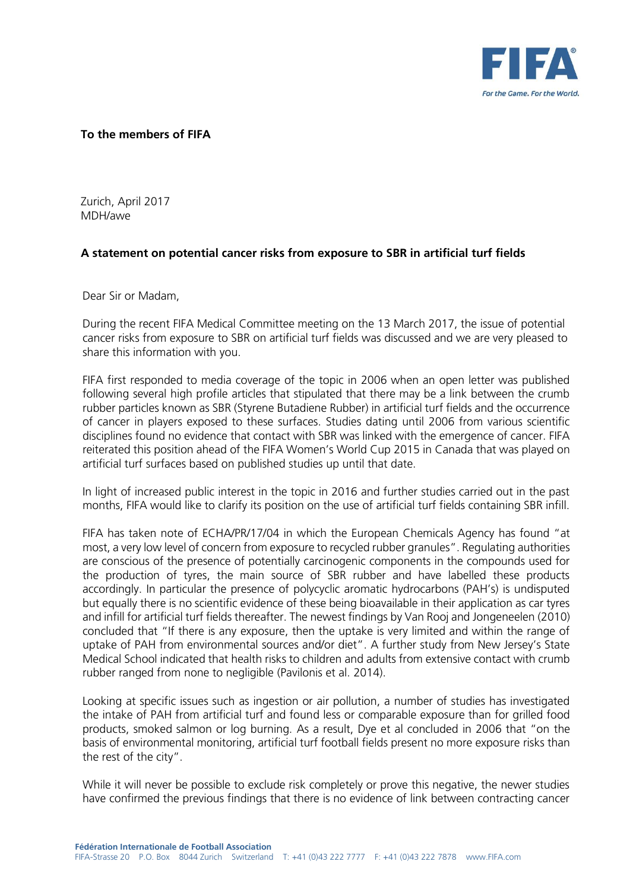

## **To the members of FIFA**

Zurich, April 2017 MDH/awe

## **A statement on potential cancer risks from exposure to SBR in artificial turf fields**

Dear Sir or Madam,

During the recent FIFA Medical Committee meeting on the 13 March 2017, the issue of potential cancer risks from exposure to SBR on artificial turf fields was discussed and we are very pleased to share this information with you.

FIFA first responded to media coverage of the topic in 2006 when an open letter was published following several high profile articles that stipulated that there may be a link between the crumb rubber particles known as SBR (Styrene Butadiene Rubber) in artificial turf fields and the occurrence of cancer in players exposed to these surfaces. Studies dating until 2006 from various scientific disciplines found no evidence that contact with SBR was linked with the emergence of cancer. FIFA reiterated this position ahead of the FIFA Women's World Cup 2015 in Canada that was played on artificial turf surfaces based on published studies up until that date.

In light of increased public interest in the topic in 2016 and further studies carried out in the past months, FIFA would like to clarify its position on the use of artificial turf fields containing SBR infill.

FIFA has taken note of ECHA/PR/17/04 in which the European Chemicals Agency has found "at most, a very low level of concern from exposure to recycled rubber granules". Regulating authorities are conscious of the presence of potentially carcinogenic components in the compounds used for the production of tyres, the main source of SBR rubber and have labelled these products accordingly. In particular the presence of polycyclic aromatic hydrocarbons (PAH's) is undisputed but equally there is no scientific evidence of these being bioavailable in their application as car tyres and infill for artificial turf fields thereafter. The newest findings by Van Rooj and Jongeneelen (2010) concluded that "If there is any exposure, then the uptake is very limited and within the range of uptake of PAH from environmental sources and/or diet". A further study from New Jersey's State Medical School indicated that health risks to children and adults from extensive contact with crumb rubber ranged from none to negligible (Pavilonis et al. 2014).

Looking at specific issues such as ingestion or air pollution, a number of studies has investigated the intake of PAH from artificial turf and found less or comparable exposure than for grilled food products, smoked salmon or log burning. As a result, Dye et al concluded in 2006 that "on the basis of environmental monitoring, artificial turf football fields present no more exposure risks than the rest of the city".

While it will never be possible to exclude risk completely or prove this negative, the newer studies have confirmed the previous findings that there is no evidence of link between contracting cancer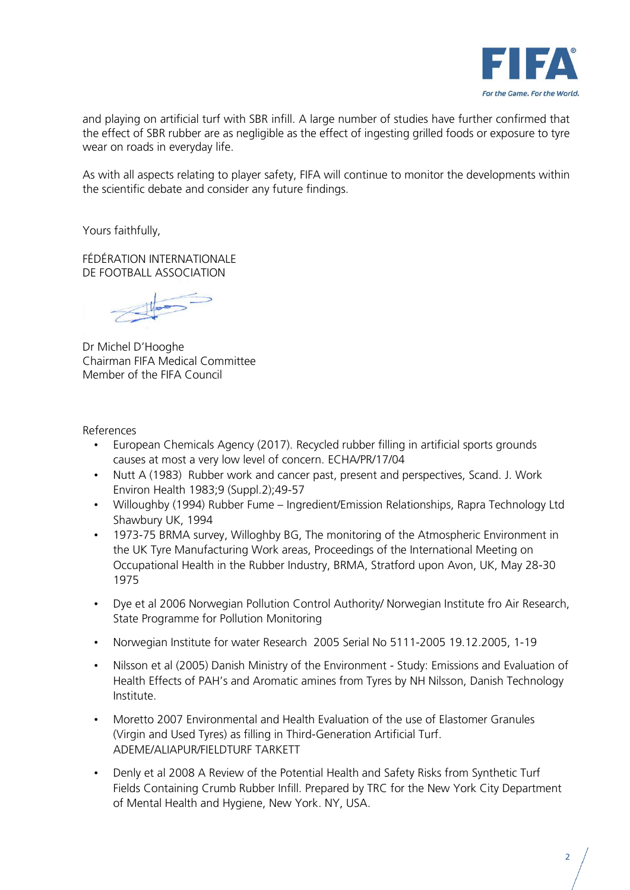

and playing on artificial turf with SBR infill. A large number of studies have further confirmed that the effect of SBR rubber are as negligible as the effect of ingesting grilled foods or exposure to tyre wear on roads in everyday life.

As with all aspects relating to player safety, FIFA will continue to monitor the developments within the scientific debate and consider any future findings.

Yours faithfully,

FÉDÉRATION INTERNATIONALE DE FOOTBALL ASSOCIATION

Dr Michel D'Hooghe Chairman FIFA Medical Committee Member of the FIFA Council

References

- European Chemicals Agency (2017). Recycled rubber filling in artificial sports grounds causes at most a very low level of concern. ECHA/PR/17/04
- Nutt A (1983) Rubber work and cancer past, present and perspectives, Scand. J. Work Environ Health 1983;9 (Suppl.2);49-57
- Willoughby (1994) Rubber Fume Ingredient/Emission Relationships, Rapra Technology Ltd Shawbury UK, 1994
- 1973-75 BRMA survey, Willoghby BG, The monitoring of the Atmospheric Environment in the UK Tyre Manufacturing Work areas, Proceedings of the International Meeting on Occupational Health in the Rubber Industry, BRMA, Stratford upon Avon, UK, May 28-30 1975
- Dye et al 2006 Norwegian Pollution Control Authority/ Norwegian Institute fro Air Research, State Programme for Pollution Monitoring
- Norwegian Institute for water Research 2005 Serial No 5111-2005 19.12.2005, 1-19
- Nilsson et al (2005) Danish Ministry of the Environment Study: Emissions and Evaluation of Health Effects of PAH's and Aromatic amines from Tyres by NH Nilsson, Danish Technology Institute.
- Moretto 2007 Environmental and Health Evaluation of the use of Elastomer Granules (Virgin and Used Tyres) as filling in Third-Generation Artificial Turf. ADEME/ALIAPUR/FIELDTURF TARKETT
- Denly et al 2008 A Review of the Potential Health and Safety Risks from Synthetic Turf Fields Containing Crumb Rubber Infill. Prepared by TRC for the New York City Department of Mental Health and Hygiene, New York. NY, USA.